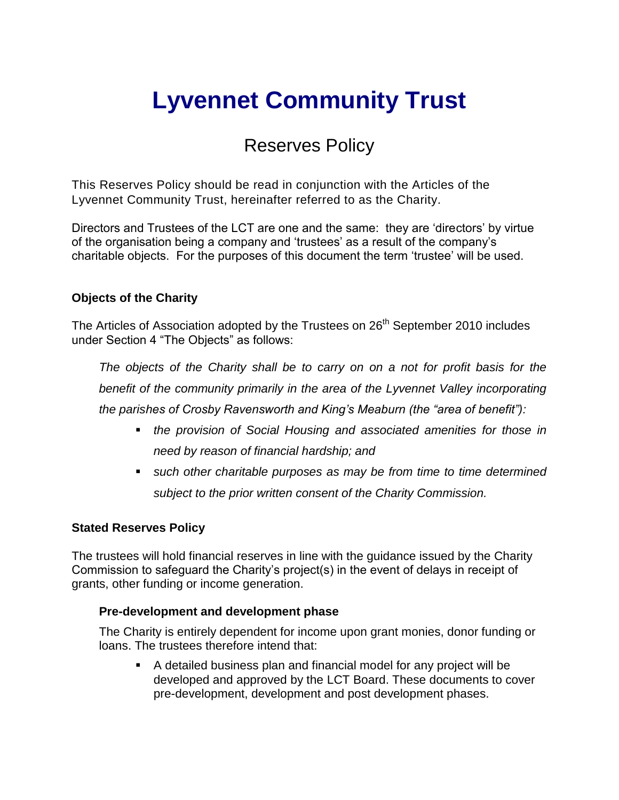# **Lyvennet Community Trust**

# Reserves Policy

This Reserves Policy should be read in conjunction with the Articles of the Lyvennet Community Trust, hereinafter referred to as the Charity.

Directors and Trustees of the LCT are one and the same: they are 'directors' by virtue of the organisation being a company and 'trustees' as a result of the company's charitable objects. For the purposes of this document the term 'trustee' will be used.

## **Objects of the Charity**

The Articles of Association adopted by the Trustees on 26<sup>th</sup> September 2010 includes under Section 4 "The Objects" as follows:

*The objects of the Charity shall be to carry on on a not for profit basis for the benefit of the community primarily in the area of the Lyvennet Valley incorporating the parishes of Crosby Ravensworth and King's Meaburn (the "area of benefit"):*

- *the provision of Social Housing and associated amenities for those in need by reason of financial hardship; and*
- *such other charitable purposes as may be from time to time determined subject to the prior written consent of the Charity Commission.*

## **Stated Reserves Policy**

The trustees will hold financial reserves in line with the guidance issued by the Charity Commission to safeguard the Charity's project(s) in the event of delays in receipt of grants, other funding or income generation.

#### **Pre-development and development phase**

The Charity is entirely dependent for income upon grant monies, donor funding or loans. The trustees therefore intend that:

 A detailed business plan and financial model for any project will be developed and approved by the LCT Board. These documents to cover pre-development, development and post development phases.